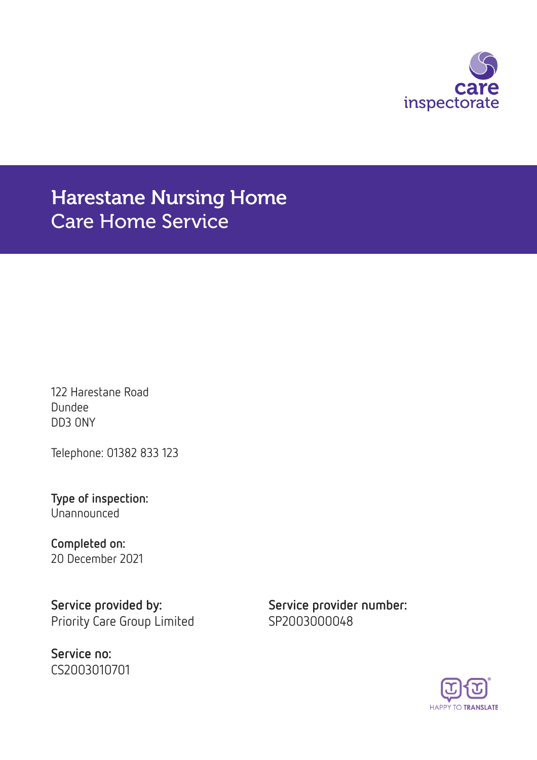

# Harestane Nursing Home Care Home Service

122 Harestane Road Dundee DD3 0NY

Telephone: 01382 833 123

Type of inspection: Unannounced

Completed on: 20 December 2021

Service provided by: Service provider number: Priority Care Group Limited SP2003000048

Service no: CS2003010701

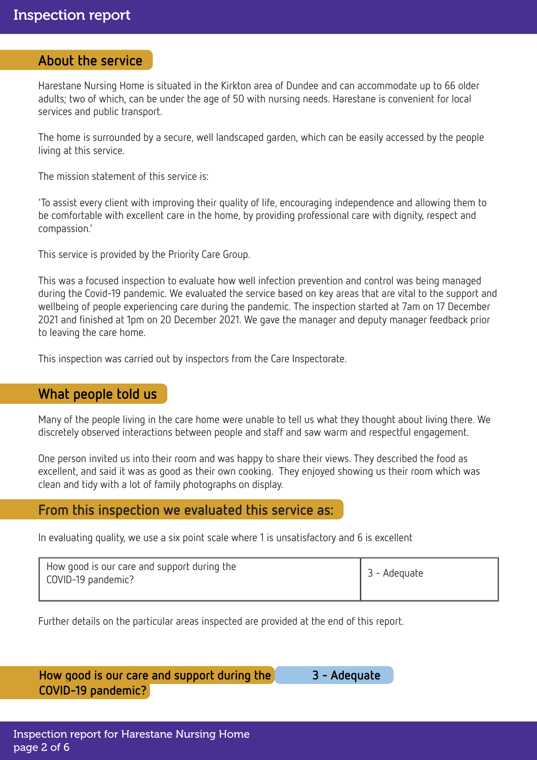### About the service

Harestane Nursing Home is situated in the Kirkton area of Dundee and can accommodate up to 66 older adults; two of which, can be under the age of 50 with nursing needs. Harestane is convenient for local services and public transport.

The home is surrounded by a secure, well landscaped garden, which can be easily accessed by the people living at this service.

The mission statement of this service is:

'To assist every client with improving their quality of life, encouraging independence and allowing them to be comfortable with excellent care in the home, by providing professional care with dignity, respect and compassion.'

This service is provided by the Priority Care Group.

This was a focused inspection to evaluate how well infection prevention and control was being managed during the Covid-19 pandemic. We evaluated the service based on key areas that are vital to the support and wellbeing of people experiencing care during the pandemic. The inspection started at 7am on 17 December 2021 and finished at 1pm on 20 December 2021. We gave the manager and deputy manager feedback prior to leaving the care home.

This inspection was carried out by inspectors from the Care Inspectorate.

## What people told us

Many of the people living in the care home were unable to tell us what they thought about living there. We discretely observed interactions between people and staff and saw warm and respectful engagement.

One person invited us into their room and was happy to share their views. They described the food as excellent, and said it was as good as their own cooking. They enjoyed showing us their room which was clean and tidy with a lot of family photographs on display.

## From this inspection we evaluated this service as:

In evaluating quality, we use a six point scale where 1 is unsatisfactory and 6 is excellent

| How good is our care and support during the<br>COVID-19 pandemic? | 3 - Adequate |
|-------------------------------------------------------------------|--------------|
|                                                                   |              |

Further details on the particular areas inspected are provided at the end of this report.

How good is our care and support during the 3 - Adequate COVID-19 pandemic?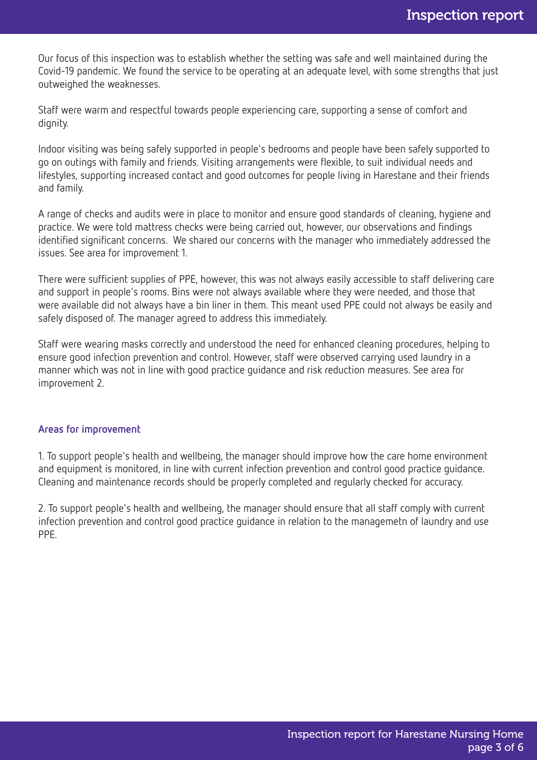Our focus of this inspection was to establish whether the setting was safe and well maintained during the Covid-19 pandemic. We found the service to be operating at an adequate level, with some strengths that just outweighed the weaknesses.

Staff were warm and respectful towards people experiencing care, supporting a sense of comfort and dignity.

Indoor visiting was being safely supported in people's bedrooms and people have been safely supported to go on outings with family and friends. Visiting arrangements were flexible, to suit individual needs and lifestyles, supporting increased contact and good outcomes for people living in Harestane and their friends and family.

A range of checks and audits were in place to monitor and ensure good standards of cleaning, hygiene and practice. We were told mattress checks were being carried out, however, our observations and findings identified significant concerns. We shared our concerns with the manager who immediately addressed the issues. See area for improvement 1.

There were sufficient supplies of PPE, however, this was not always easily accessible to staff delivering care and support in people's rooms. Bins were not always available where they were needed, and those that were available did not always have a bin liner in them. This meant used PPE could not always be easily and safely disposed of. The manager agreed to address this immediately.

Staff were wearing masks correctly and understood the need for enhanced cleaning procedures, helping to ensure good infection prevention and control. However, staff were observed carrying used laundry in a manner which was not in line with good practice guidance and risk reduction measures. See area for improvement 2.

#### Areas for improvement

1. To support people's health and wellbeing, the manager should improve how the care home environment and equipment is monitored, in line with current infection prevention and control good practice guidance. Cleaning and maintenance records should be properly completed and regularly checked for accuracy.

2. To support people's health and wellbeing, the manager should ensure that all staff comply with current infection prevention and control good practice guidance in relation to the managemetn of laundry and use PPE.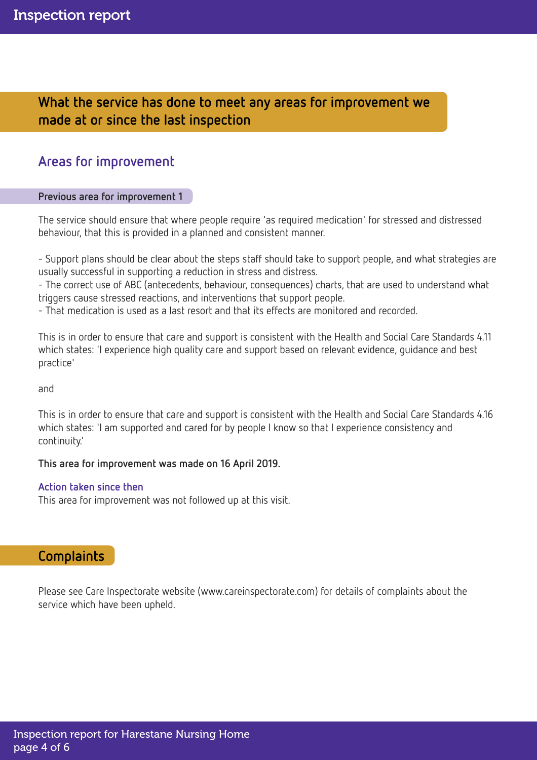What the service has done to meet any areas for improvement we made at or since the last inspection

## Areas for improvement

#### Previous area for improvement 1

The service should ensure that where people require 'as required medication' for stressed and distressed behaviour, that this is provided in a planned and consistent manner.

- Support plans should be clear about the steps staff should take to support people, and what strategies are usually successful in supporting a reduction in stress and distress.

- The correct use of ABC (antecedents, behaviour, consequences) charts, that are used to understand what triggers cause stressed reactions, and interventions that support people.

- That medication is used as a last resort and that its effects are monitored and recorded.

This is in order to ensure that care and support is consistent with the Health and Social Care Standards 4.11 which states: 'I experience high quality care and support based on relevant evidence, guidance and best practice'

and

This is in order to ensure that care and support is consistent with the Health and Social Care Standards 4.16 which states: 'I am supported and cared for by people I know so that I experience consistency and continuity.'

#### This area for improvement was made on 16 April 2019.

#### Action taken since then

This area for improvement was not followed up at this visit.

## **Complaints**

Please see Care Inspectorate website (www.careinspectorate.com) for details of complaints about the service which have been upheld.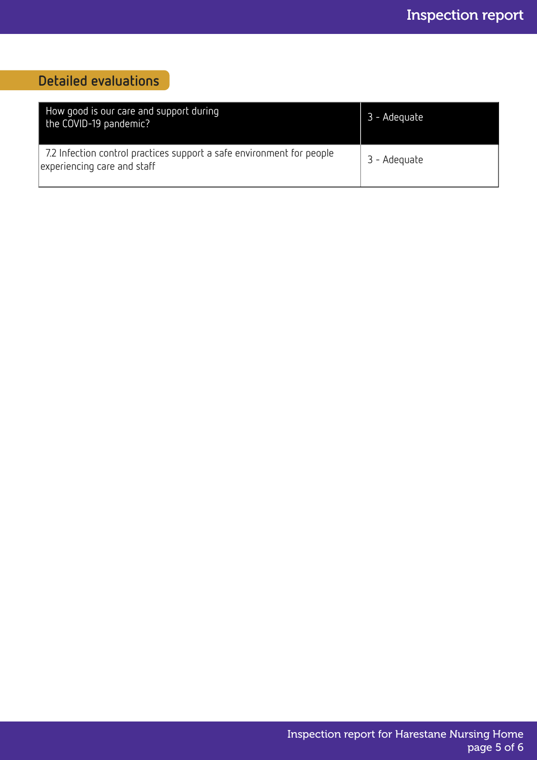## Detailed evaluations

| How good is our care and support during<br>the COVID-19 pandemic?                                    | 3 - Adequate |
|------------------------------------------------------------------------------------------------------|--------------|
| 7.2 Infection control practices support a safe environment for people<br>experiencing care and staff | 3 - Adequate |